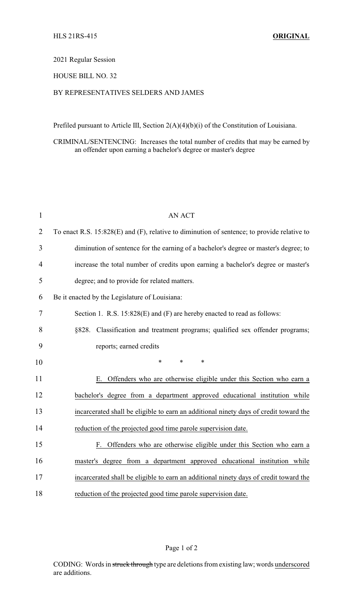## 2021 Regular Session

## HOUSE BILL NO. 32

## BY REPRESENTATIVES SELDERS AND JAMES

Prefiled pursuant to Article III, Section 2(A)(4)(b)(i) of the Constitution of Louisiana.

CRIMINAL/SENTENCING: Increases the total number of credits that may be earned by an offender upon earning a bachelor's degree or master's degree

| $\mathbf{1}$ | <b>AN ACT</b>                                                                               |
|--------------|---------------------------------------------------------------------------------------------|
| 2            | To enact R.S. 15:828(E) and (F), relative to diminution of sentence; to provide relative to |
| 3            | diminution of sentence for the earning of a bachelor's degree or master's degree; to        |
| 4            | increase the total number of credits upon earning a bachelor's degree or master's           |
| 5            | degree; and to provide for related matters.                                                 |
| 6            | Be it enacted by the Legislature of Louisiana:                                              |
| 7            | Section 1. R.S. 15:828(E) and (F) are hereby enacted to read as follows:                    |
| 8            | §828. Classification and treatment programs; qualified sex offender programs;               |
| 9            | reports; earned credits                                                                     |
| 10           | $\ast$<br>$\ast$<br>$\ast$                                                                  |
| 11           | E. Offenders who are otherwise eligible under this Section who earn a                       |
| 12           | bachelor's degree from a department approved educational institution while                  |
| 13           | incarcerated shall be eligible to earn an additional ninety days of credit toward the       |
| 14           | reduction of the projected good time parole supervision date.                               |
| 15           | F. Offenders who are otherwise eligible under this Section who earn a                       |
| 16           | master's degree from a department approved educational institution while                    |
| 17           | incarcerated shall be eligible to earn an additional ninety days of credit toward the       |
| 18           | reduction of the projected good time parole supervision date.                               |